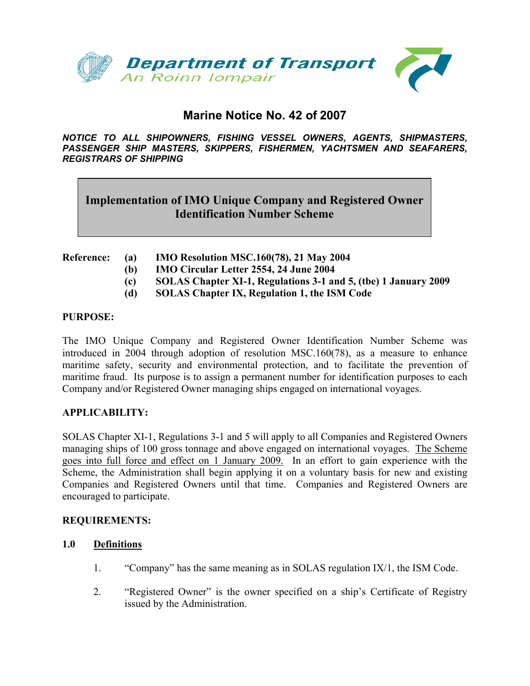

# **Marine Notice No. 42 of 2007**

*NOTICE TO ALL SHIPOWNERS, FISHING VESSEL OWNERS, AGENTS, SHIPMASTERS, PASSENGER SHIP MASTERS, SKIPPERS, FISHERMEN, YACHTSMEN AND SEAFARERS, REGISTRARS OF SHIPPING*

# **Implementation of IMO Unique Company and Registered Owner Identification Number Scheme**

- **Reference: (a) IMO Resolution MSC.160(78), 21 May 2004 (b) IMO Circular Letter 2554, 24 June 2004** 
	- **(c) SOLAS Chapter XI-1, Regulations 3-1 and 5, (tbe) 1 January 2009**
	- **(d) SOLAS Chapter IX, Regulation 1, the ISM Code**

#### **PURPOSE:**

The IMO Unique Company and Registered Owner Identification Number Scheme was introduced in 2004 through adoption of resolution MSC.160(78), as a measure to enhance maritime safety, security and environmental protection, and to facilitate the prevention of maritime fraud. Its purpose is to assign a permanent number for identification purposes to each Company and/or Registered Owner managing ships engaged on international voyages.

## **APPLICABILITY:**

SOLAS Chapter XI-1, Regulations 3-1 and 5 will apply to all Companies and Registered Owners managing ships of 100 gross tonnage and above engaged on international voyages. The Scheme goes into full force and effect on 1 January 2009. In an effort to gain experience with the Scheme, the Administration shall begin applying it on a voluntary basis for new and existing Companies and Registered Owners until that time. Companies and Registered Owners are encouraged to participate.

## **REQUIREMENTS:**

## **1.0 Definitions**

- 1. "Company" has the same meaning as in SOLAS regulation IX/1, the ISM Code.
- 2. "Registered Owner" is the owner specified on a ship's Certificate of Registry issued by the Administration.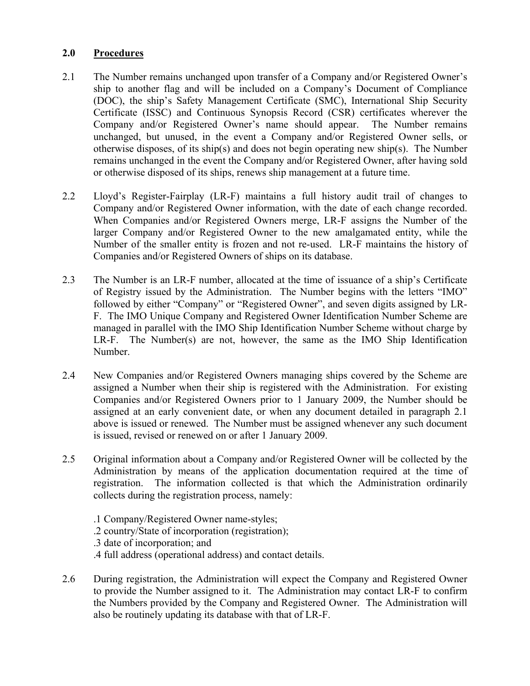# **2.0 Procedures**

- 2.1 The Number remains unchanged upon transfer of a Company and/or Registered Owner's ship to another flag and will be included on a Company's Document of Compliance (DOC), the ship's Safety Management Certificate (SMC), International Ship Security Certificate (ISSC) and Continuous Synopsis Record (CSR) certificates wherever the Company and/or Registered Owner's name should appear. The Number remains unchanged, but unused, in the event a Company and/or Registered Owner sells, or otherwise disposes, of its ship(s) and does not begin operating new ship(s). The Number remains unchanged in the event the Company and/or Registered Owner, after having sold or otherwise disposed of its ships, renews ship management at a future time.
- 2.2 Lloyd's Register-Fairplay (LR-F) maintains a full history audit trail of changes to Company and/or Registered Owner information, with the date of each change recorded. When Companies and/or Registered Owners merge, LR-F assigns the Number of the larger Company and/or Registered Owner to the new amalgamated entity, while the Number of the smaller entity is frozen and not re-used. LR-F maintains the history of Companies and/or Registered Owners of ships on its database.
- 2.3 The Number is an LR-F number, allocated at the time of issuance of a ship's Certificate of Registry issued by the Administration. The Number begins with the letters "IMO" followed by either "Company" or "Registered Owner", and seven digits assigned by LR-F. The IMO Unique Company and Registered Owner Identification Number Scheme are managed in parallel with the IMO Ship Identification Number Scheme without charge by LR-F. The Number(s) are not, however, the same as the IMO Ship Identification Number.
- 2.4 New Companies and/or Registered Owners managing ships covered by the Scheme are assigned a Number when their ship is registered with the Administration. For existing Companies and/or Registered Owners prior to 1 January 2009, the Number should be assigned at an early convenient date, or when any document detailed in paragraph 2.1 above is issued or renewed. The Number must be assigned whenever any such document is issued, revised or renewed on or after 1 January 2009.
- 2.5 Original information about a Company and/or Registered Owner will be collected by the Administration by means of the application documentation required at the time of registration. The information collected is that which the Administration ordinarily collects during the registration process, namely:
	- .1 Company/Registered Owner name-styles; .2 country/State of incorporation (registration); .3 date of incorporation; and .4 full address (operational address) and contact details.
- 2.6 During registration, the Administration will expect the Company and Registered Owner to provide the Number assigned to it. The Administration may contact LR-F to confirm the Numbers provided by the Company and Registered Owner. The Administration will also be routinely updating its database with that of LR-F.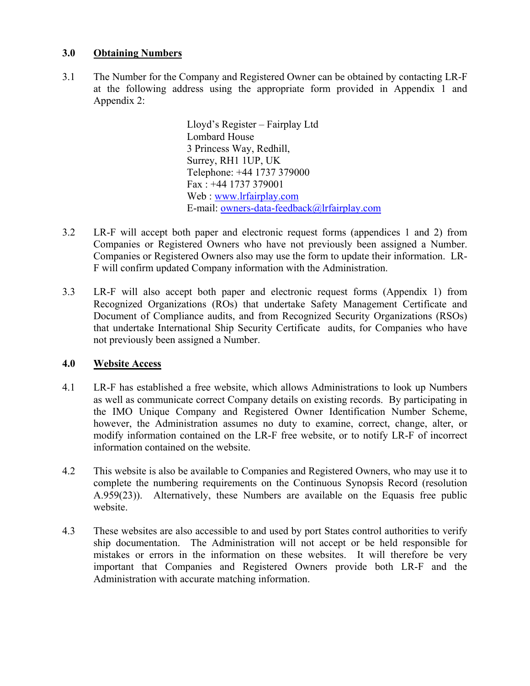# **3.0 Obtaining Numbers**

3.1 The Number for the Company and Registered Owner can be obtained by contacting LR-F at the following address using the appropriate form provided in Appendix 1 and Appendix 2:

> Lloyd's Register – Fairplay Ltd Lombard House 3 Princess Way, Redhill, Surrey, RH1 1UP, UK Telephone: +44 1737 379000 Fax : +44 1737 379001 Web : [www.lrfairplay.com](http://www.lrfairplay.com/) E-mail: [owners-data-feedback@lrfairplay.com](mailto:owners-data-feedback@lrfairplay.com)

- 3.2 LR-F will accept both paper and electronic request forms (appendices 1 and 2) from Companies or Registered Owners who have not previously been assigned a Number. Companies or Registered Owners also may use the form to update their information. LR-F will confirm updated Company information with the Administration.
- 3.3 LR-F will also accept both paper and electronic request forms (Appendix 1) from Recognized Organizations (ROs) that undertake Safety Management Certificate and Document of Compliance audits, and from Recognized Security Organizations (RSOs) that undertake International Ship Security Certificate audits, for Companies who have not previously been assigned a Number.

# **4.0 Website Access**

- 4.1 LR-F has established a free website, which allows Administrations to look up Numbers as well as communicate correct Company details on existing records. By participating in the IMO Unique Company and Registered Owner Identification Number Scheme, however, the Administration assumes no duty to examine, correct, change, alter, or modify information contained on the LR-F free website, or to notify LR-F of incorrect information contained on the website.
- 4.2 This website is also be available to Companies and Registered Owners, who may use it to complete the numbering requirements on the Continuous Synopsis Record (resolution A.959(23)). Alternatively, these Numbers are available on the Equasis free public website.
- 4.3 These websites are also accessible to and used by port States control authorities to verify ship documentation. The Administration will not accept or be held responsible for mistakes or errors in the information on these websites. It will therefore be very important that Companies and Registered Owners provide both LR-F and the Administration with accurate matching information.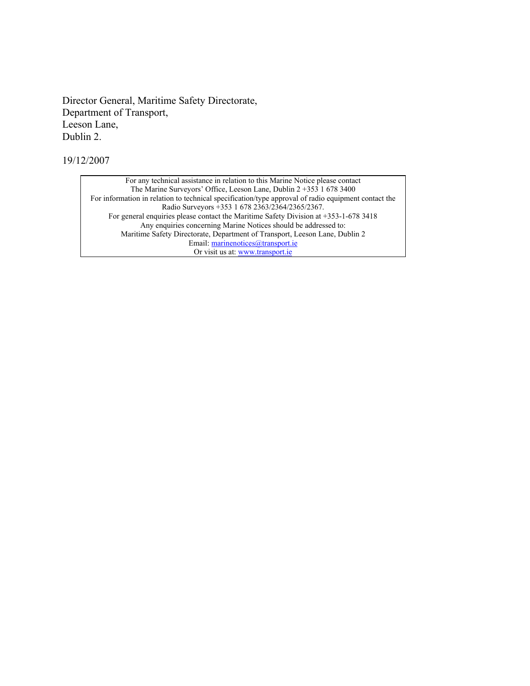Director General, Maritime Safety Directorate, Department of Transport, Leeson Lane, Dublin 2.

19/12/2007

For any technical assistance in relation to this Marine Notice please contact The Marine Surveyors' Office, Leeson Lane, Dublin 2 +353 1 678 3400 For information in relation to technical specification/type approval of radio equipment contact the Radio Surveyors +353 1 678 2363/2364/2365/2367. For general enquiries please contact the Maritime Safety Division at +353-1-678 3418 Any enquiries concerning Marine Notices should be addressed to: Maritime Safety Directorate, Department of Transport, Leeson Lane, Dublin 2 Email: [marinenotices@transport.ie](mailto:marinenotices@transport.ie) Or visit us at: [www.transport.ie](http://www.transport.ie/)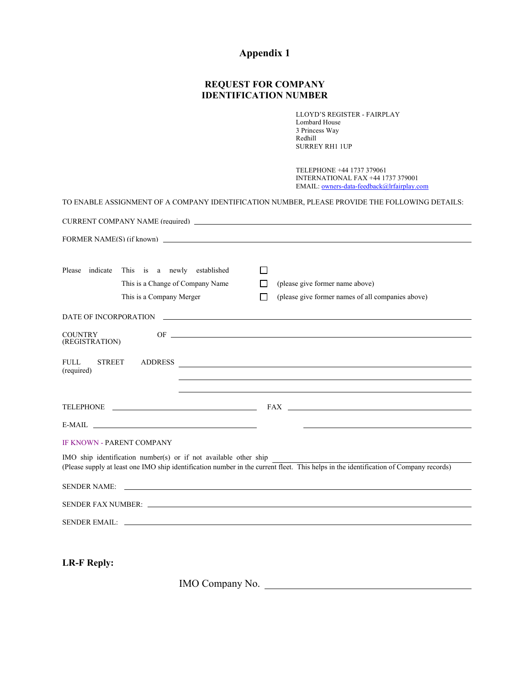# **Appendix 1**

# **REQUEST FOR COMPANY IDENTIFICATION NUMBER**

LLOYD'S REGISTER - FAIRPLAY Lombard House 3 Princess Way Redhill SURREY RH1 1UP

TELEPHONE +44 1737 379061 INTERNATIONAL FAX +44 1737 379001 EMAIL: [owners-data-feedback@lrfairplay.com](mailto:owners-data-feedback@lrfairplay.com)

| TO ENABLE ASSIGNMENT OF A COMPANY IDENTIFICATION NUMBER, PLEASE PROVIDE THE FOLLOWING DETAILS:                                                                                                                                 |                                      |                                                                                                                                                                                                                                |  |  |  |
|--------------------------------------------------------------------------------------------------------------------------------------------------------------------------------------------------------------------------------|--------------------------------------|--------------------------------------------------------------------------------------------------------------------------------------------------------------------------------------------------------------------------------|--|--|--|
|                                                                                                                                                                                                                                |                                      | CURRENT COMPANY NAME (required)                                                                                                                                                                                                |  |  |  |
|                                                                                                                                                                                                                                |                                      |                                                                                                                                                                                                                                |  |  |  |
|                                                                                                                                                                                                                                |                                      |                                                                                                                                                                                                                                |  |  |  |
| Please                                                                                                                                                                                                                         | indicate This is a newly established | ΙI                                                                                                                                                                                                                             |  |  |  |
|                                                                                                                                                                                                                                | This is a Change of Company Name     | (please give former name above)<br>П                                                                                                                                                                                           |  |  |  |
|                                                                                                                                                                                                                                | This is a Company Merger             | (please give former names of all companies above)<br>$\Box$                                                                                                                                                                    |  |  |  |
|                                                                                                                                                                                                                                |                                      |                                                                                                                                                                                                                                |  |  |  |
| <b>COUNTRY</b>                                                                                                                                                                                                                 |                                      | $OF \nightharpoonup$                                                                                                                                                                                                           |  |  |  |
| (REGISTRATION)                                                                                                                                                                                                                 |                                      |                                                                                                                                                                                                                                |  |  |  |
| FULL.<br><b>STREET</b><br>(required)                                                                                                                                                                                           |                                      | ADDRESS                                                                                                                                                                                                                        |  |  |  |
|                                                                                                                                                                                                                                |                                      |                                                                                                                                                                                                                                |  |  |  |
|                                                                                                                                                                                                                                |                                      | TELEPHONE CONTROL CONTROL CONTROL CONTROL CONTROL CONTROL CONTROL CONTROL CONTROL CONTROL CONTROL CONTROL CONTROL CONTROL CONTROL CONTROL CONTROL CONTROL CONTROL CONTROL CONTROL CONTROL CONTROL CONTROL CONTROL CONTROL CONT |  |  |  |
|                                                                                                                                                                                                                                | $E-MAIL$ $\qquad \qquad$             |                                                                                                                                                                                                                                |  |  |  |
| <b>IF KNOWN - PARENT COMPANY</b>                                                                                                                                                                                               |                                      |                                                                                                                                                                                                                                |  |  |  |
| IMO ship identification number(s) or if not available other ship<br>(Please supply at least one IMO ship identification number in the current fleet. This helps in the identification of Company records)                      |                                      |                                                                                                                                                                                                                                |  |  |  |
| <b>SENDER NAME:</b>                                                                                                                                                                                                            |                                      |                                                                                                                                                                                                                                |  |  |  |
| SENDER FAX NUMBER: LETTER AND THE SERVICE OF A SERVICE OF A SERVICE OF A SERVICE OF A SERVICE OF A SERVICE OF A SERVICE OF A SERVICE OF A SERVICE OF A SERVICE OF A SERVICE OF A SERVICE OF A SERVICE OF A SERVICE OF A SERVIC |                                      |                                                                                                                                                                                                                                |  |  |  |
|                                                                                                                                                                                                                                | SENDER EMAIL:                        |                                                                                                                                                                                                                                |  |  |  |
|                                                                                                                                                                                                                                |                                      |                                                                                                                                                                                                                                |  |  |  |

**LR-F Reply:** 

IMO Company No.